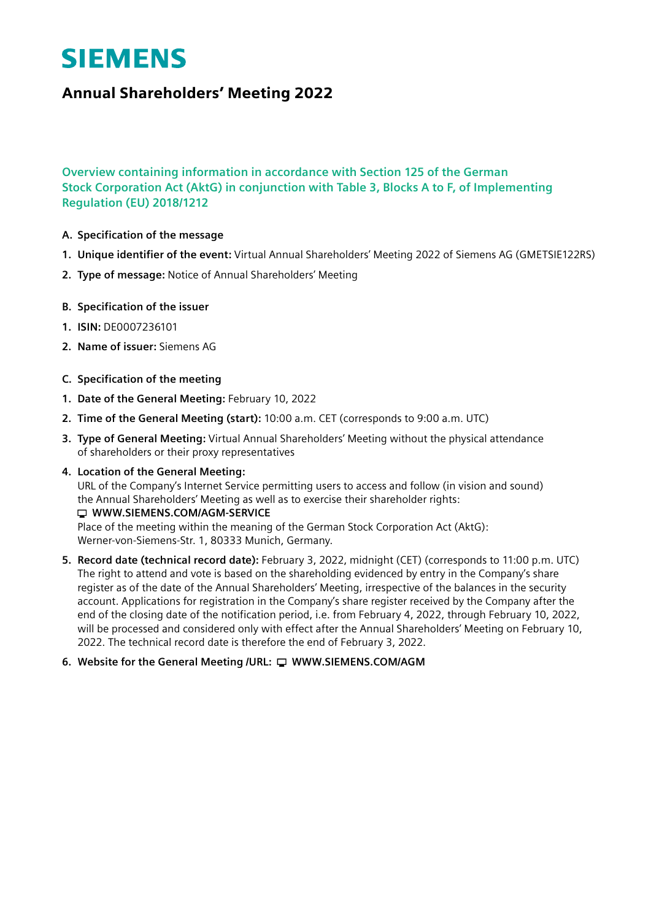# **SIEMENS**

# Annual Shareholders' Meeting 2022

# **Overview containing information in accordance with Section 125 of the German Stock Corporation Act (AktG) in conjunction with Table 3, Blocks A to F, of Implementing Regulation (EU) 2018/1212**

- **A. Specification of the message**
- **1. Unique identifier of the event:** Virtual Annual Shareholders' Meeting 2022 of Siemens AG (GMETSIE122RS)
- **2. Type of message:** Notice of Annual Shareholders' Meeting
- **B. Specification of the issuer**
- **1. ISIN:** DE0007236101
- **2. Name of issuer:** Siemens AG
- **C. Specification of the meeting**
- **1. Date of the General Meeting:** February 10, 2022
- **2. Time of the General Meeting (start):** 10:00 a.m. CET (corresponds to 9:00 a.m. UTC)
- **3. Type of General Meeting:** Virtual Annual Shareholders' Meeting without the physical attendance of shareholders or their proxy representatives
- **4. Location of the General Meeting:** URL of the Company's Internet Service permitting users to access and follow (in vision and sound) the Annual Shareholders' Meeting as well as to exercise their shareholder rights: **WWW.SIEMENS.COM/AGM-SERVICE** Place of the meeting within the meaning of the German Stock Corporation Act (AktG): Werner-von-Siemens-Str. 1, 80333 Munich, Germany.
- **5. Record date (technical record date):** February 3, 2022, midnight (CET) (corresponds to 11:00 p.m. UTC) The right to attend and vote is based on the shareholding evidenced by entry in the Company's share register as of the date of the Annual Shareholders' Meeting, irrespective of the balances in the security account. Applications for registration in the Company's share register received by the Company after the end of the closing date of the notification period, i.e. from February 4, 2022, through February 10, 2022, will be processed and considered only with effect after the Annual Shareholders' Meeting on February 10, 2022. The technical record date is therefore the end of February 3, 2022.

# **6. Website for the General Meeting /URL:** □ WWW.SIEMENS.COM/AGM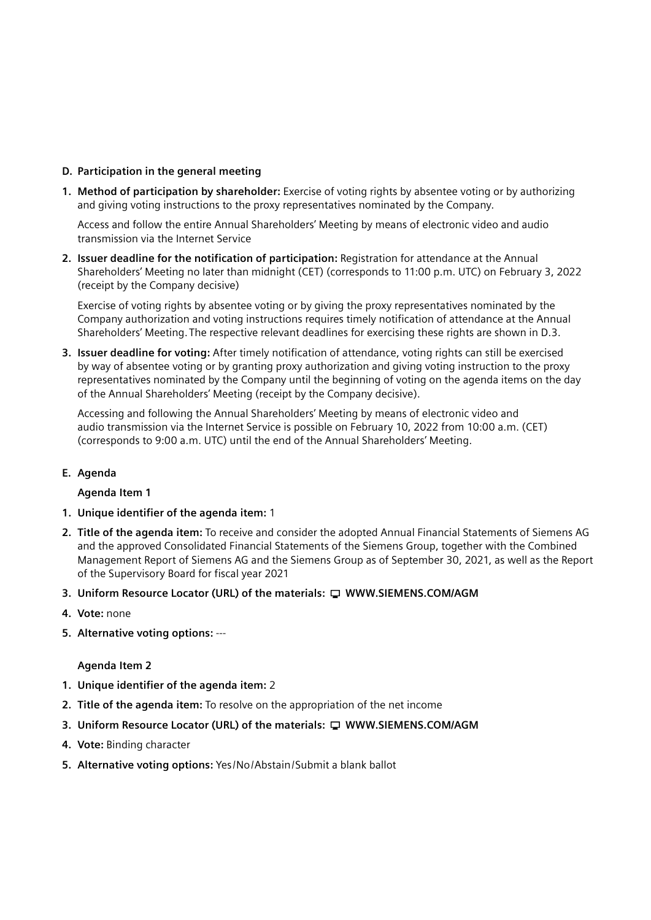#### **D. Participation in the general meeting**

**1. Method of participation by shareholder:** Exercise of voting rights by absentee voting or by authorizing and giving voting instructions to the proxy representatives nominated by the Company.

 Access and follow the entire Annual Shareholders' Meeting by means of electronic video and audio transmission via the Internet Service

**2. Issuer deadline for the notification of participation:** Registration for attendance at the Annual Shareholders' Meeting no later than midnight (CET) (corresponds to 11:00 p.m. UTC) on February 3, 2022 (receipt by the Company decisive)

 Exercise of voting rights by absentee voting or by giving the proxy representatives nominated by the Company authorization and voting instructions requires timely notification of attendance at the Annual Shareholders' Meeting. The respective relevant deadlines for exercising these rights are shown in D.3.

**3. Issuer deadline for voting:** After timely notification of attendance, voting rights can still be exercised by way of absentee voting or by granting proxy authorization and giving voting instruction to the proxy representatives nominated by the Company until the beginning of voting on the agenda items on the day of the Annual Shareholders' Meeting (receipt by the Company decisive).

 Accessing and following the Annual Shareholders' Meeting by means of electronic video and audio transmission via the Internet Service is possible on February 10, 2022 from 10:00 a.m. (CET) (corresponds to 9:00 a.m. UTC) until the end of the Annual Shareholders' Meeting.

# **E. Agenda**

**Agenda Item 1**

- **1. Unique identifier of the agenda item:** 1
- **2. Title of the agenda item:** To receive and consider the adopted Annual Financial Statements of Siemens AG and the approved Consolidated Financial Statements of the Siemens Group, together with the Combined Management Report of Siemens AG and the Siemens Group as of September 30, 2021, as well as the Report of the Supervisory Board for fiscal year 2021
- **3. Uniform Resource Locator (URL) of the materials: WWW.SIEMENS.COM/AGM**
- **4. Vote:** none
- **5. Alternative voting options:** ---

#### **Agenda Item 2**

- **1. Unique identifier of the agenda item:** 2
- **2. Title of the agenda item:** To resolve on the appropriation of the net income
- **3. Uniform Resource Locator (URL) of the materials: WWW.SIEMENS.COM/AGM**
- **4. Vote:** Binding character
- **5. Alternative voting options:** Yes/No/Abstain/Submit a blank ballot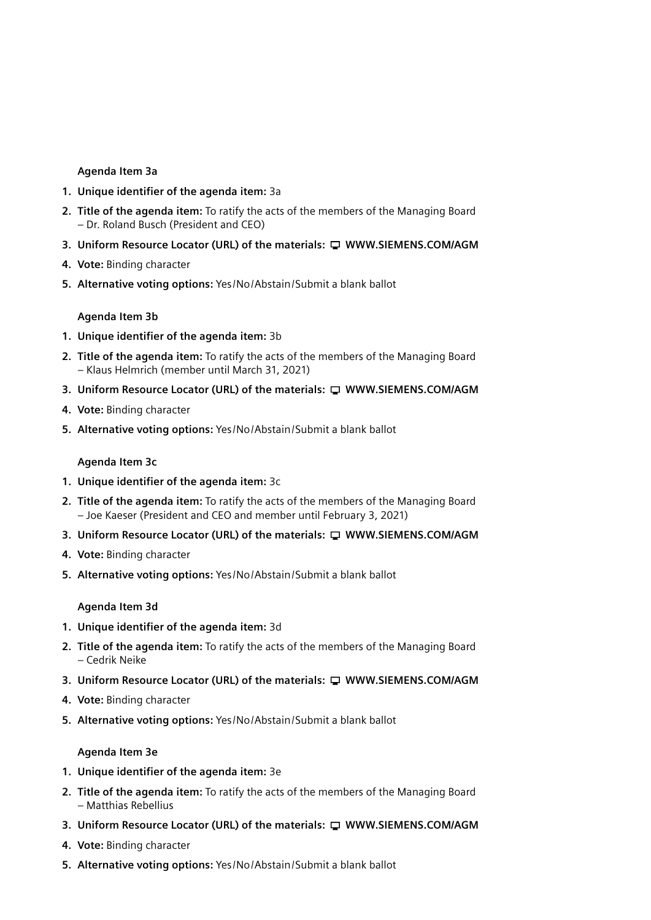#### **Agenda Item 3a**

- **1. Unique identifier of the agenda item:** 3a
- **2. Title of the agenda item:** To ratify the acts of the members of the Managing Board – Dr. Roland Busch (President and CEO)
- **3. Uniform Resource Locator (URL) of the materials: WWW.SIEMENS.COM/AGM**
- **4. Vote:** Binding character
- **5. Alternative voting options:** Yes/No/Abstain/Submit a blank ballot

#### **Agenda Item 3b**

- **1. Unique identifier of the agenda item:** 3b
- **2. Title of the agenda item:** To ratify the acts of the members of the Managing Board – Klaus Helmrich (member until March 31, 2021)
- **3. Uniform Resource Locator (URL) of the materials: WWW.SIEMENS.COM/AGM**
- **4. Vote:** Binding character
- **5. Alternative voting options:** Yes/No/Abstain/Submit a blank ballot

#### **Agenda Item 3c**

- **1. Unique identifier of the agenda item:** 3c
- **2. Title of the agenda item:** To ratify the acts of the members of the Managing Board – Joe Kaeser (President and CEO and member until February 3, 2021)
- **3. Uniform Resource Locator (URL) of the materials: WWW.SIEMENS.COM/AGM**
- **4. Vote:** Binding character
- **5. Alternative voting options:** Yes/No/Abstain/Submit a blank ballot

#### **Agenda Item 3d**

- **1. Unique identifier of the agenda item:** 3d
- **2. Title of the agenda item:** To ratify the acts of the members of the Managing Board – Cedrik Neike
- **3. Uniform Resource Locator (URL) of the materials: WWW.SIEMENS.COM/AGM**
- **4. Vote:** Binding character
- **5. Alternative voting options:** Yes/No/Abstain/Submit a blank ballot

#### **Agenda Item 3e**

- **1. Unique identifier of the agenda item:** 3e
- **2. Title of the agenda item:** To ratify the acts of the members of the Managing Board – Matthias Rebellius
- **3. Uniform Resource Locator (URL) of the materials: WWW.SIEMENS.COM/AGM**
- **4. Vote:** Binding character
- **5. Alternative voting options:** Yes/No/Abstain/Submit a blank ballot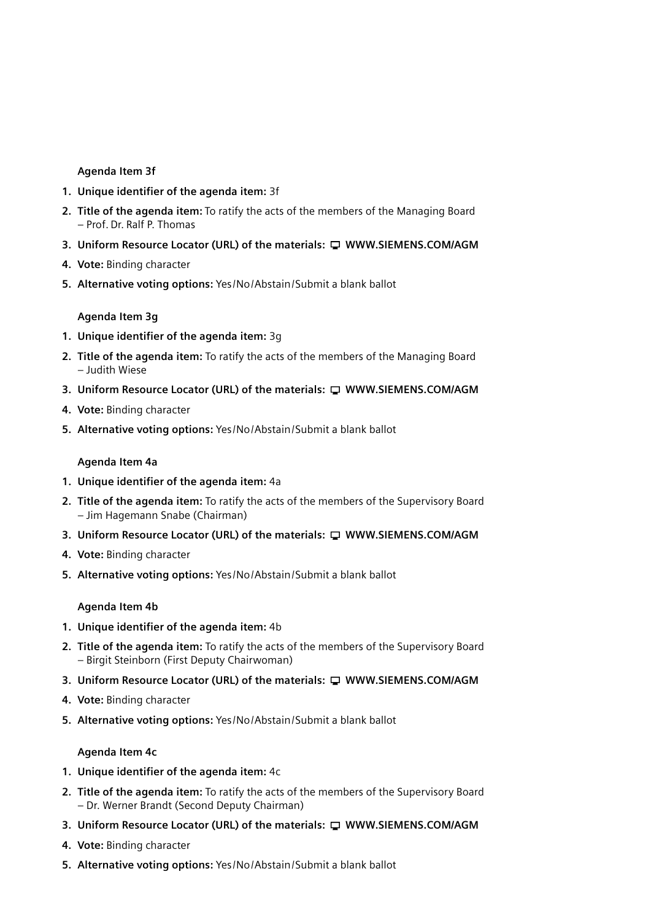#### **Agenda Item 3f**

- **1. Unique identifier of the agenda item:** 3f
- **2. Title of the agenda item:** To ratify the acts of the members of the Managing Board – Prof. Dr. Ralf P. Thomas
- **3. Uniform Resource Locator (URL) of the materials: WWW.SIEMENS.COM/AGM**
- **4. Vote:** Binding character
- **5. Alternative voting options:** Yes/No/Abstain/Submit a blank ballot

**Agenda Item 3g**

- **1. Unique identifier of the agenda item:** 3g
- **2. Title of the agenda item:** To ratify the acts of the members of the Managing Board – Judith Wiese
- **3. Uniform Resource Locator (URL) of the materials: WWW.SIEMENS.COM/AGM**
- **4. Vote:** Binding character
- **5. Alternative voting options:** Yes/No/Abstain/Submit a blank ballot

#### **Agenda Item 4a**

- **1. Unique identifier of the agenda item:** 4a
- **2. Title of the agenda item:** To ratify the acts of the members of the Supervisory Board – Jim Hagemann Snabe (Chairman)
- **3. Uniform Resource Locator (URL) of the materials: WWW.SIEMENS.COM/AGM**
- **4. Vote:** Binding character
- **5. Alternative voting options:** Yes/No/Abstain/Submit a blank ballot

# **Agenda Item 4b**

- **1. Unique identifier of the agenda item:** 4b
- **2. Title of the agenda item:** To ratify the acts of the members of the Supervisory Board – Birgit Steinborn (First Deputy Chairwoman)
- **3. Uniform Resource Locator (URL) of the materials: WWW.SIEMENS.COM/AGM**
- **4. Vote:** Binding character
- **5. Alternative voting options:** Yes/No/Abstain/Submit a blank ballot

#### **Agenda Item 4c**

- **1. Unique identifier of the agenda item:** 4c
- **2. Title of the agenda item:** To ratify the acts of the members of the Supervisory Board – Dr. Werner Brandt (Second Deputy Chairman)
- **3. Uniform Resource Locator (URL) of the materials: WWW.SIEMENS.COM/AGM**
- **4. Vote:** Binding character
- **5. Alternative voting options:** Yes/No/Abstain/Submit a blank ballot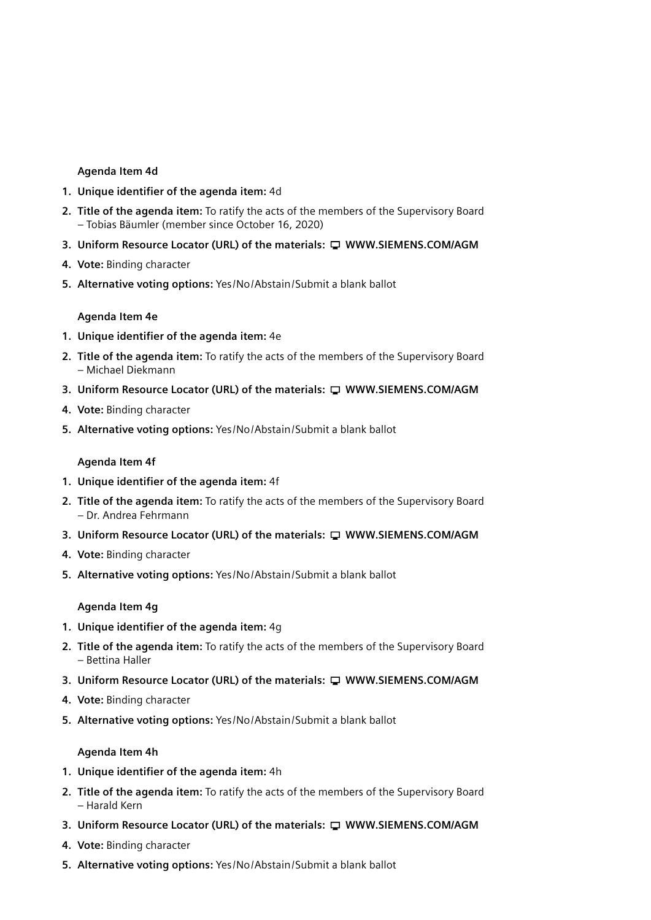#### **Agenda Item 4d**

- **1. Unique identifier of the agenda item:** 4d
- **2. Title of the agenda item:** To ratify the acts of the members of the Supervisory Board – Tobias Bäumler (member since October 16, 2020)
- **3. Uniform Resource Locator (URL) of the materials: WWW.SIEMENS.COM/AGM**
- **4. Vote:** Binding character
- **5. Alternative voting options:** Yes/No/Abstain/Submit a blank ballot

#### **Agenda Item 4e**

- **1. Unique identifier of the agenda item:** 4e
- **2. Title of the agenda item:** To ratify the acts of the members of the Supervisory Board – Michael Diekmann
- **3. Uniform Resource Locator (URL) of the materials: WWW.SIEMENS.COM/AGM**
- **4. Vote:** Binding character
- **5. Alternative voting options:** Yes/No/Abstain/Submit a blank ballot

#### **Agenda Item 4f**

- **1. Unique identifier of the agenda item:** 4f
- **2. Title of the agenda item:** To ratify the acts of the members of the Supervisory Board – Dr. Andrea Fehrmann
- **3. Uniform Resource Locator (URL) of the materials: WWW.SIEMENS.COM/AGM**
- **4. Vote:** Binding character
- **5. Alternative voting options:** Yes/No/Abstain/Submit a blank ballot

#### **Agenda Item 4g**

- **1. Unique identifier of the agenda item:** 4g
- **2. Title of the agenda item:** To ratify the acts of the members of the Supervisory Board – Bettina Haller
- **3. Uniform Resource Locator (URL) of the materials: WWW.SIEMENS.COM/AGM**
- **4. Vote:** Binding character
- **5. Alternative voting options:** Yes/No/Abstain/Submit a blank ballot

#### **Agenda Item 4h**

- **1. Unique identifier of the agenda item:** 4h
- **2. Title of the agenda item:** To ratify the acts of the members of the Supervisory Board – Harald Kern
- **3. Uniform Resource Locator (URL) of the materials: WWW.SIEMENS.COM/AGM**
- **4. Vote:** Binding character
- **5. Alternative voting options:** Yes/No/Abstain/Submit a blank ballot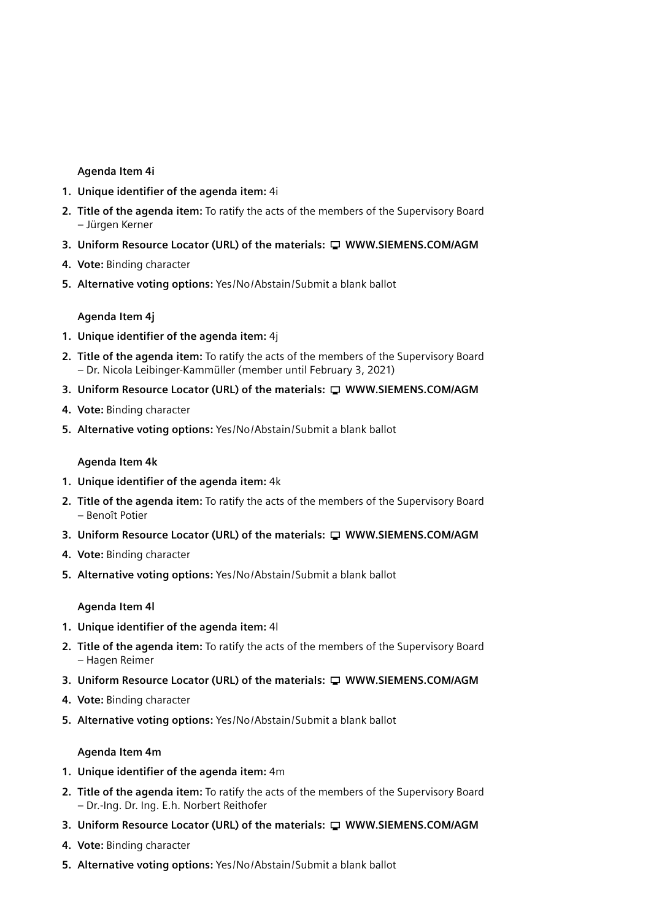#### **Agenda Item 4i**

- **1. Unique identifier of the agenda item:** 4i
- **2. Title of the agenda item:** To ratify the acts of the members of the Supervisory Board – Jürgen Kerner
- **3. Uniform Resource Locator (URL) of the materials: WWW.SIEMENS.COM/AGM**
- **4. Vote:** Binding character
- **5. Alternative voting options:** Yes/No/Abstain/Submit a blank ballot

**Agenda Item 4j**

- **1. Unique identifier of the agenda item:** 4j
- **2. Title of the agenda item:** To ratify the acts of the members of the Supervisory Board – Dr. Nicola Leibinger-Kammüller (member until February 3, 2021)
- **3. Uniform Resource Locator (URL) of the materials: WWW.SIEMENS.COM/AGM**
- **4. Vote:** Binding character
- **5. Alternative voting options:** Yes/No/Abstain/Submit a blank ballot

#### **Agenda Item 4k**

- **1. Unique identifier of the agenda item:** 4k
- **2. Title of the agenda item:** To ratify the acts of the members of the Supervisory Board – Benoît Potier
- **3. Uniform Resource Locator (URL) of the materials: WWW.SIEMENS.COM/AGM**
- **4. Vote:** Binding character
- **5. Alternative voting options:** Yes/No/Abstain/Submit a blank ballot

# **Agenda Item 4l**

- **1. Unique identifier of the agenda item:** 4l
- **2. Title of the agenda item:** To ratify the acts of the members of the Supervisory Board – Hagen Reimer
- **3. Uniform Resource Locator (URL) of the materials: WWW.SIEMENS.COM/AGM**
- **4. Vote:** Binding character
- **5. Alternative voting options:** Yes/No/Abstain/Submit a blank ballot

#### **Agenda Item 4m**

- **1. Unique identifier of the agenda item:** 4m
- **2. Title of the agenda item:** To ratify the acts of the members of the Supervisory Board – Dr.-Ing. Dr. Ing. E.h. Norbert Reithofer
- **3. Uniform Resource Locator (URL) of the materials: WWW.SIEMENS.COM/AGM**
- **4. Vote:** Binding character
- **5. Alternative voting options:** Yes/No/Abstain/Submit a blank ballot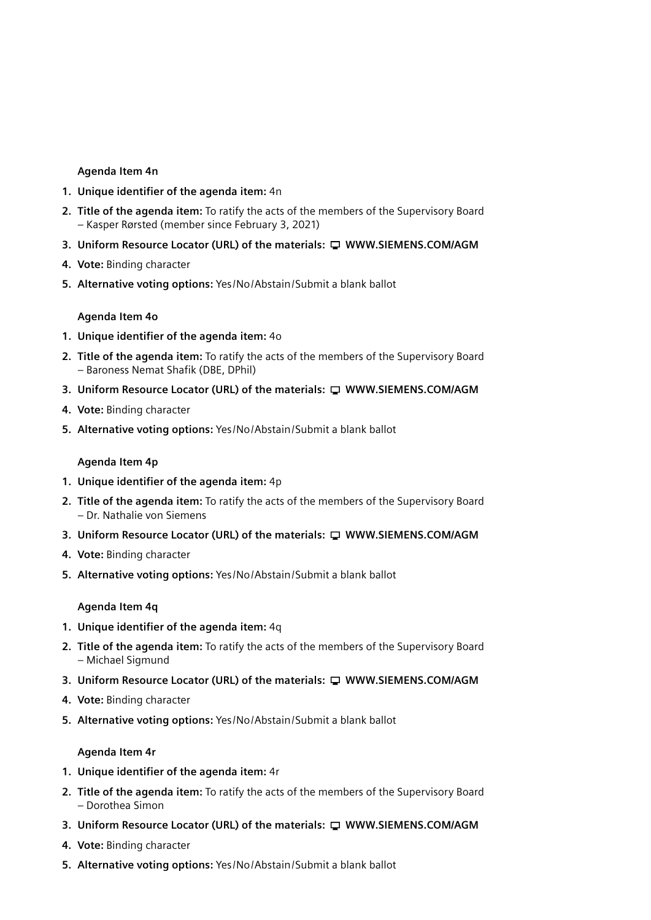#### **Agenda Item 4n**

- **1. Unique identifier of the agenda item:** 4n
- **2. Title of the agenda item:** To ratify the acts of the members of the Supervisory Board – Kasper Rørsted (member since February 3, 2021)
- **3. Uniform Resource Locator (URL) of the materials: WWW.SIEMENS.COM/AGM**
- **4. Vote:** Binding character
- **5. Alternative voting options:** Yes/No/Abstain/Submit a blank ballot

#### **Agenda Item 4o**

- **1. Unique identifier of the agenda item:** 4o
- **2. Title of the agenda item:** To ratify the acts of the members of the Supervisory Board – Baroness Nemat Shafik (DBE, DPhil)
- **3. Uniform Resource Locator (URL) of the materials: WWW.SIEMENS.COM/AGM**
- **4. Vote:** Binding character
- **5. Alternative voting options:** Yes/No/Abstain/Submit a blank ballot

#### **Agenda Item 4p**

- **1. Unique identifier of the agenda item:** 4p
- **2. Title of the agenda item:** To ratify the acts of the members of the Supervisory Board – Dr. Nathalie von Siemens
- **3. Uniform Resource Locator (URL) of the materials: WWW.SIEMENS.COM/AGM**
- **4. Vote:** Binding character
- **5. Alternative voting options:** Yes/No/Abstain/Submit a blank ballot

#### **Agenda Item 4q**

- **1. Unique identifier of the agenda item:** 4q
- **2. Title of the agenda item:** To ratify the acts of the members of the Supervisory Board – Michael Sigmund
- **3. Uniform Resource Locator (URL) of the materials: WWW.SIEMENS.COM/AGM**
- **4. Vote:** Binding character
- **5. Alternative voting options:** Yes/No/Abstain/Submit a blank ballot

#### **Agenda Item 4r**

- **1. Unique identifier of the agenda item:** 4r
- **2. Title of the agenda item:** To ratify the acts of the members of the Supervisory Board – Dorothea Simon
- **3. Uniform Resource Locator (URL) of the materials: WWW.SIEMENS.COM/AGM**
- **4. Vote:** Binding character
- **5. Alternative voting options:** Yes/No/Abstain/Submit a blank ballot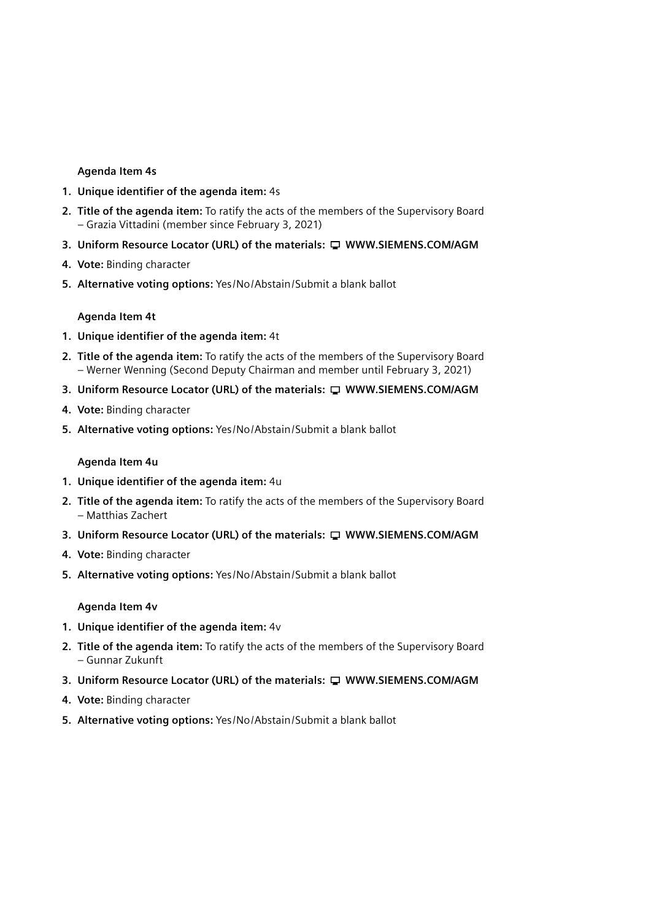#### **Agenda Item 4s**

- **1. Unique identifier of the agenda item:** 4s
- **2. Title of the agenda item:** To ratify the acts of the members of the Supervisory Board – Grazia Vittadini (member since February 3, 2021)
- **3. Uniform Resource Locator (URL) of the materials: WWW.SIEMENS.COM/AGM**
- **4. Vote:** Binding character
- **5. Alternative voting options:** Yes/No/Abstain/Submit a blank ballot

**Agenda Item 4t**

- **1. Unique identifier of the agenda item:** 4t
- **2. Title of the agenda item:** To ratify the acts of the members of the Supervisory Board – Werner Wenning (Second Deputy Chairman and member until February 3, 2021)
- **3.** Uniform Resource Locator (URL) of the materials:  $\Box$  WWW.SIEMENS.COM/AGM
- **4. Vote:** Binding character
- **5. Alternative voting options:** Yes/No/Abstain/Submit a blank ballot

#### **Agenda Item 4u**

- **1. Unique identifier of the agenda item:** 4u
- **2. Title of the agenda item:** To ratify the acts of the members of the Supervisory Board – Matthias Zachert
- **3. Uniform Resource Locator (URL) of the materials: WWW.SIEMENS.COM/AGM**
- **4. Vote:** Binding character
- **5. Alternative voting options:** Yes/No/Abstain/Submit a blank ballot

#### **Agenda Item 4v**

- **1. Unique identifier of the agenda item:** 4v
- **2. Title of the agenda item:** To ratify the acts of the members of the Supervisory Board – Gunnar Zukunft
- **3. Uniform Resource Locator (URL) of the materials: WWW.SIEMENS.COM/AGM**
- **4. Vote:** Binding character
- **5. Alternative voting options:** Yes/No/Abstain/Submit a blank ballot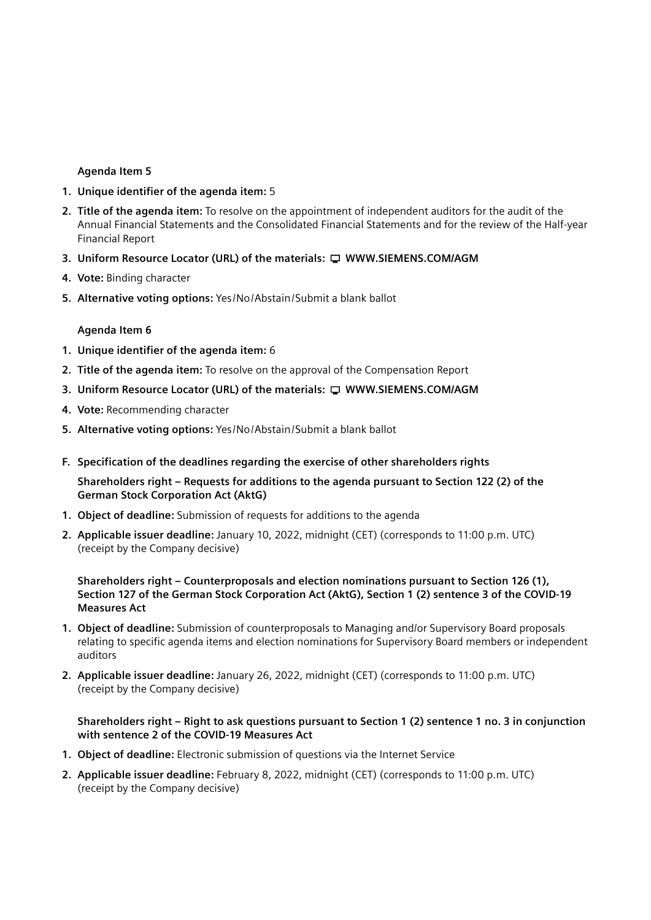#### **Agenda Item 5**

- **1. Unique identifier of the agenda item:** 5
- **2. Title of the agenda item:** To resolve on the appointment of independent auditors for the audit of the Annual Financial Statements and the Consolidated Financial Statements and for the review of the Half-year Financial Report
- **3. Uniform Resource Locator (URL) of the materials: WWW.SIEMENS.COM/AGM**
- **4. Vote:** Binding character
- **5. Alternative voting options:** Yes/No/Abstain/Submit a blank ballot

#### **Agenda Item 6**

- **1. Unique identifier of the agenda item:** 6
- **2. Title of the agenda item:** To resolve on the approval of the Compensation Report
- **3. Uniform Resource Locator (URL) of the materials: WWW.SIEMENS.COM/AGM**
- **4. Vote:** Recommending character
- **5. Alternative voting options:** Yes/No/Abstain/Submit a blank ballot
- **F. Specification of the deadlines regarding the exercise of other shareholders rights**

 **Shareholders right – Requests for additions to the agenda pursuant to Section 122 (2) of the German Stock Corporation Act (AktG)**

- **1. Object of deadline:** Submission of requests for additions to the agenda
- **2. Applicable issuer deadline:** January 10, 2022, midnight (CET) (corresponds to 11:00 p.m. UTC) (receipt by the Company decisive)

#### **Shareholders right – Counterproposals and election nominations pursuant to Section 126 (1), Section 127 of the German Stock Corporation Act (AktG), Section 1 (2) sentence 3 of the COVID-19 Measures Act**

- **1. Object of deadline:** Submission of counterproposals to Managing and/or Supervisory Board proposals relating to specific agenda items and election nominations for Supervisory Board members or independent auditors
- **2. Applicable issuer deadline:** January 26, 2022, midnight (CET) (corresponds to 11:00 p.m. UTC) (receipt by the Company decisive)

### **Shareholders right – Right to ask questions pursuant to Section 1 (2) sentence 1 no. 3 in conjunction with sentence 2 of the COVID-19 Measures Act**

- **1. Object of deadline:** Electronic submission of questions via the Internet Service
- **2. Applicable issuer deadline:** February 8, 2022, midnight (CET) (corresponds to 11:00 p.m. UTC) (receipt by the Company decisive)